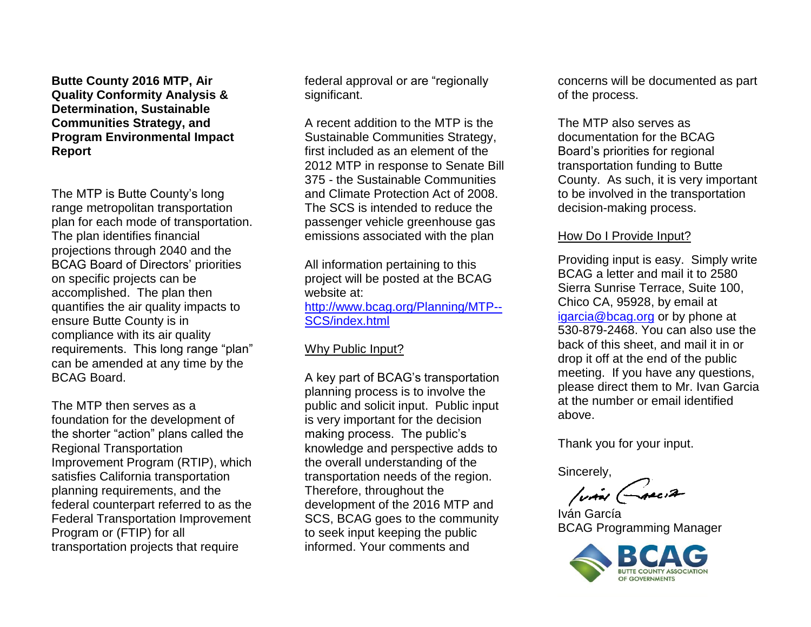**Butte County 2016 MTP, Air Quality Conformity Analysis & Determination, Sustainable Communities Strategy, and Program Environmental Impact Report**

The MTP is Butte County's long range metropolitan transportation plan for each mode of transportation. The plan identifies financial projections through 2040 and the BCAG Board of Directors' priorities on specific projects can be accomplished. The plan then quantifies the air quality impacts to ensure Butte County is in compliance with its air quality requirements. This long range "plan" can be amended at any time by the BCAG Board.

The MTP then serves as a foundation for the development of the shorter "action" plans called the Regional Transportation Improvement Program (RTIP), which satisfies California transportation planning requirements, and the federal counterpart referred to as the Federal Transportation Improvement Program or (FTIP) for all transportation projects that require

federal approval or are "regionally significant.

A recent addition to the MTP is the Sustainable Communities Strategy, first included as an element of the 2012 MTP in response to Senate Bill 375 - the Sustainable Communities and Climate Protection Act of 2008. The SCS is intended to reduce the passenger vehicle greenhouse gas emissions associated with the plan

All information pertaining to this project will be posted at the BCAG website at: [http://www.bcag.org/Planning/MTP--](http://www.bcag.org/Planning/MTP--SCS/index.html) [SCS/index.html](http://www.bcag.org/Planning/MTP--SCS/index.html)

# Why Public Input?

A key part of BCAG's transportation planning process is to involve the public and solicit input. Public input is very important for the decision making process. The public's knowledge and perspective adds to the overall understanding of the transportation needs of the region. Therefore, throughout the development of the 2016 MTP and SCS, BCAG goes to the community to seek input keeping the public informed. Your comments and

concerns will be documented as part of the process.

The MTP also serves as documentation for the BCAG Board's priorities for regional transportation funding to Butte County. As such, it is very important to be involved in the transportation decision-making process.

# How Do I Provide Input?

Providing input is easy. Simply write BCAG a letter and mail it to 2580 Sierra Sunrise Terrace, Suite 100, Chico CA, 95928, by email at [igarcia@bcag.org](mailto:igarcia@bcag.org) or by phone at 530-879-2468. You can also use the back of this sheet, and mail it in or drop it off at the end of the public meeting. If you have any questions, please direct them to Mr. Ivan Garcia at the number or email identified above.

Thank you for your input.

Sincerely,

**/via GARCIA** 

Iván García BCAG Programming Manager